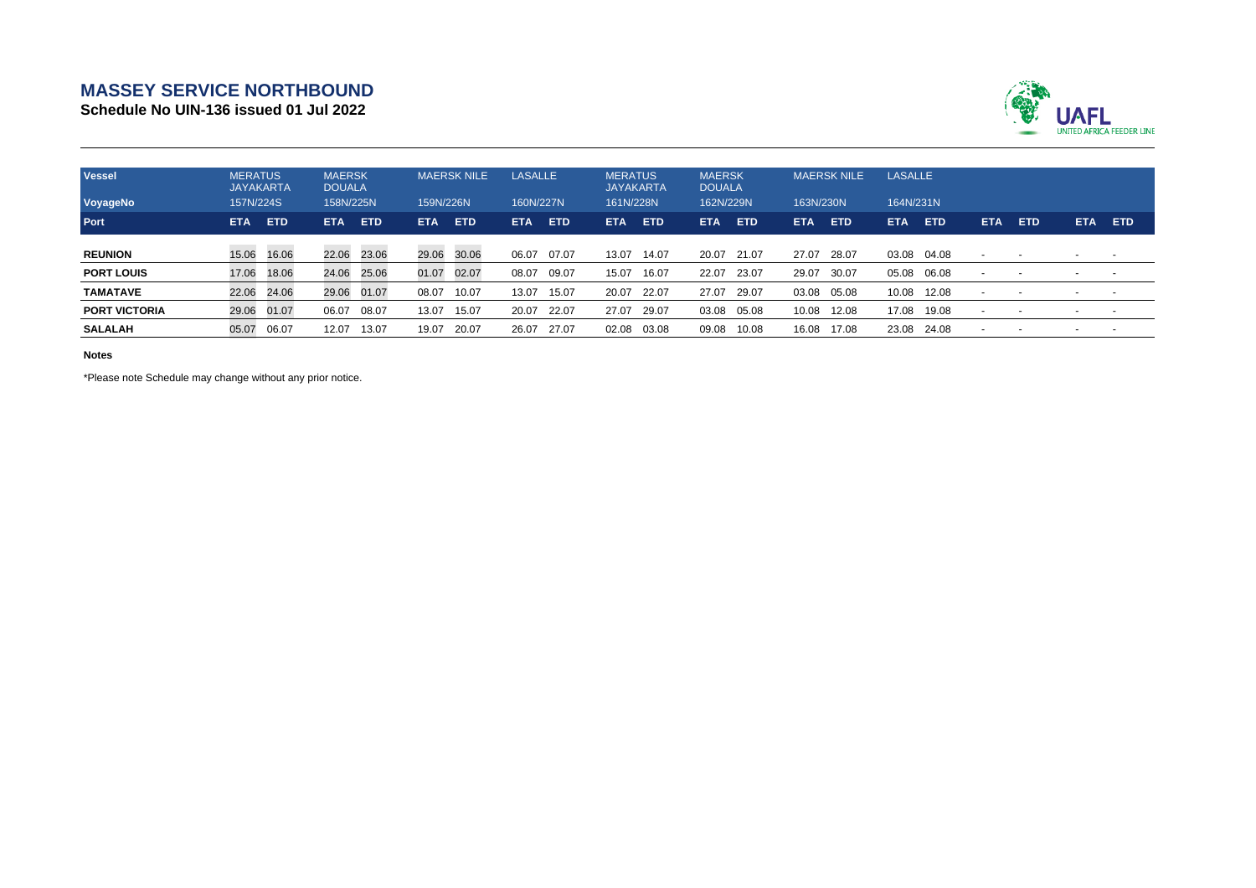## **MASSEY SERVICE NORTHBOUND**

**Schedule No UIN-136 issued 01 Jul 2022**



| <b>Vessel</b><br>VoyageNo | <b>MERATUS</b><br><b>JAYAKARTA</b><br>157N/224S |             | <b>MAERSK</b><br><b>DOUALA</b><br>158N/225N |             | <b>MAERSK NILE</b><br>159N/226N |            | <b>LASALLE</b><br>160N/227N |            | <b>MERATUS</b><br><b>JAYAKARTA</b><br>161N/228N |            | <b>MAERSK</b><br><b>DOUALA</b><br>162N/229N |            | <b>MAERSK NILE</b><br>163N/230N |            | <b>LASALLE</b><br>164N/231N |            |            |        |            |            |
|---------------------------|-------------------------------------------------|-------------|---------------------------------------------|-------------|---------------------------------|------------|-----------------------------|------------|-------------------------------------------------|------------|---------------------------------------------|------------|---------------------------------|------------|-----------------------------|------------|------------|--------|------------|------------|
| <b>Port</b>               | <b>ETA</b>                                      | <b>ETD</b>  | <b>ETA</b>                                  | <b>ETD</b>  | <b>ETA</b>                      | <b>ETD</b> | <b>ETA</b>                  | <b>ETD</b> | <b>ETA</b>                                      | <b>ETD</b> | <b>ETA</b>                                  | <b>ETD</b> | <b>ETA</b>                      | <b>ETD</b> | <b>ETA</b>                  | <b>ETD</b> | <b>ETA</b> | ETD    | <b>ETA</b> | <b>ETD</b> |
| <b>REUNION</b>            |                                                 | 15.06 16.06 |                                             | 22.06 23.06 | 29.06                           | 30.06      | 06.07                       | 07.07      | 13.07                                           | 14.07      | 20.07                                       | 21.07      | 27.07                           | 28.07      | 03.08                       | 04.08      |            | $\sim$ |            | $\sim$     |
| <b>PORT LOUIS</b>         | 17.06                                           | 18.06       | 24.06                                       | 25.06       | 01.07                           | 02.07      | 08.07                       | 09.07      | 15.07                                           | 16.07      | 22.07                                       | 23.07      | 29.07                           | 30.07      | 05.08                       | 06.08      |            | $\sim$ |            | $\sim$     |
| <b>TAMATAVE</b>           | 22.06                                           | 24.06       |                                             | 29.06 01.07 | 08.07                           | 10.07      | 13.07                       | 15.07      | 20.07                                           | 22.07      | 27.07                                       | 29.07      | 03.08                           | 05.08      | 10.08                       | 12.08      |            |        |            |            |
| <b>PORT VICTORIA</b>      | 29.06                                           | 01.07       | 06.07                                       | 08.07       | 13.07                           | 15.07      | 20.07                       | 22.07      | 27.07                                           | 29.07      | 03.08                                       | 05.08      | 10.08                           | 12.08      | 17.08                       | 19.08      |            |        |            |            |
| <b>SALALAH</b>            | 05.07                                           | 06.07       | 12.07                                       | 13.07       | 19.07                           | 20.07      | 26.07                       | 27.07      | 02.08                                           | 03.08      | 09.08                                       | 10.08      | 16.08                           | 17.08      | 23.08                       | 24.08      |            |        |            |            |

**Notes**

\*Please note Schedule may change without any prior notice.